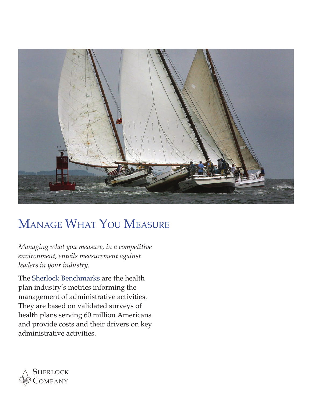

# Manage What You Measure

*Managing what you measure, in a competitive environment, entails measurement against leaders in your industry.*

The Sherlock Benchmarks are the health plan industry's metrics informing the management of administrative activities. They are based on validated surveys of health plans serving 60 million Americans and provide costs and their drivers on key administrative activities.

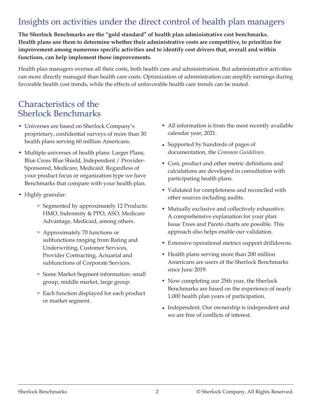# Insights on activities under the direct control of health plan managers

**The Sherlock Benchmarks are the "gold standard" of health plan administrative cost benchmarks. Health plans use them to determine whether their administrative costs are competitive, to prioritize for improvement among numerous specific activities and to identify cost drivers that, overall and within functions, can help implement those improvements.**

Health plan managers oversee all their costs, both health care and administration. But administrative activities can more directly managed than health care costs. Optimization of administration can amplify earnings during favorable health cost trends, while the effects of unfavorable health care trends can be muted.

#### Characteristics of the Sherlock Benchmarks

- Universes are based on Sherlock Company's proprietary, confidential surveys of more than 30 health plans serving 60 million Americans.
- Multiple universes of health plans: Larger Plans, Blue Cross Blue Shield, Independent / Provider-Sponsored, Medicare, Medicaid. Regardless of your product focus or organization type we have Benchmarks that compare with your health plan.
- Highly granular:
	- Segmented by approximately 12 Products: HMO, Indemnity & PPO, ASO, Medicare Advantage, Medicaid, among others.
	- Approximately 70 functions or subfunctions ranging from Rating and Underwriting, Customer Services, Provider Contracting, Actuarial and subfunctions of Corporate Services.
	- Some Market Segment information: small group, middle market, large group.
	- Each function displayed for each product or market segment.
- All information is from the most recently available calendar year, 2021.
- Supported by hundreds of pages of documentation, the *Common Guidelines*.
- Cost, product and other metric definitions and calculations are developed in consultation with participating health plans.
- Validated for completeness and reconciled with other sources including audits.
- Mutually exclusive and collectively exhaustive. A comprehensive explanation for your plan: Issue Trees and Pareto charts are possible. This approach also helps enable our validation.
- Extensive operational metrics support drilldowns.
- Health plans serving more than 200 million Americans are users of the Sherlock Benchmarks since June 2019.
- Now completing our 25th year, the Sherlock Benchmarks are based on the experience of nearly 1,000 health plan years of participation.
- Independent. Our ownership is independent and we are free of conflicts of interest.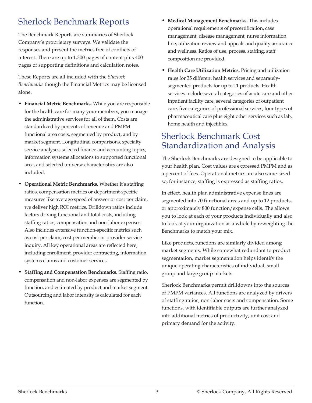# Sherlock Benchmark Reports

The Benchmark Reports are summaries of Sherlock Company's proprietary surveys. We validate the responses and present the metrics free of conflicts of interest. There are up to 1,300 pages of content plus 400 pages of supporting definitions and calculation notes.

These Reports are all included with the *Sherlock Benchmarks* though the Financial Metrics may be licensed alone.

- **Financial Metric Benchmarks.** While you are responsible for the health care for many your members, you manage the administrative services for all of them. Costs are standardized by percents of revenue and PMPM functional area costs, segmented by product, and by market segment. Longitudinal comparisons, specialty service analyses, selected finance and accounting topics, information systems allocations to supported functional area, and selected universe characteristics are also included.
- **Operational Metric Benchmarks.** Whether it's staffing ratios, compensation metrics or department-specific measures like average speed of answer or cost per claim, we deliver high ROI metrics. Drilldown ratios include factors driving functional and total costs, including staffing ratios, compensation and non-labor expenses. Also includes extensive function-specific metrics such as cost per claim, cost per member or provider service inquiry. All key operational areas are reflected here, including enrollment, provider contracting, information systems claims and customer services.
- **Staffing and Compensation Benchmarks.** Staffing ratio, compensation and non-labor expenses are segmented by function, and estimated by product and market segment. Outsourcing and labor intensity is calculated for each function.
- **Medical Management Benchmarks.** This includes operational requirements of precertification, case management, disease management, nurse information line, utilization review and appeals and quality assurance and wellness. Ratios of use, process, staffing, staff composition are provided.
- **Health Care Utilization Metrics.** Pricing and utilization rates for 35 different health services and separatelysegmented products for up to 11 products. Health services include several categories of acute care and other inpatient facility care, several categories of outpatient care, five categories of professional services, four types of pharmaceutical care plus eight other services such as lab, home health and injectibles.

## Sherlock Benchmark Cost Standardization and Analysis

The Sherlock Benchmarks are designed to be applicable to your health plan. Cost values are expressed PMPM and as a percent of fees. Operational metrics are also same-sized so, for instance, staffing is expressed as staffing ratios.

In effect, health plan administrative expense lines are segmented into 70 functional areas and up to 12 products, or approximately 800 function/expense cells. The allows you to look at each of your products individually and also to look at your organization as a whole by reweighting the Benchmarks to match your mix.

Like products, functions are similarly divided among market segments. While somewhat redundant to product segmentation, market segmentation helps identify the unique operating characteristics of individual, small group and large group markets.

Sherlock Benchmarks permit drilldowns into the sources of PMPM variances. All functions are analyzed by drivers of staffing ratios, non-labor costs and compensation. Some functions, with identifiable outputs are further analyzed into additional metrics of productivity, unit cost and primary demand for the activity.